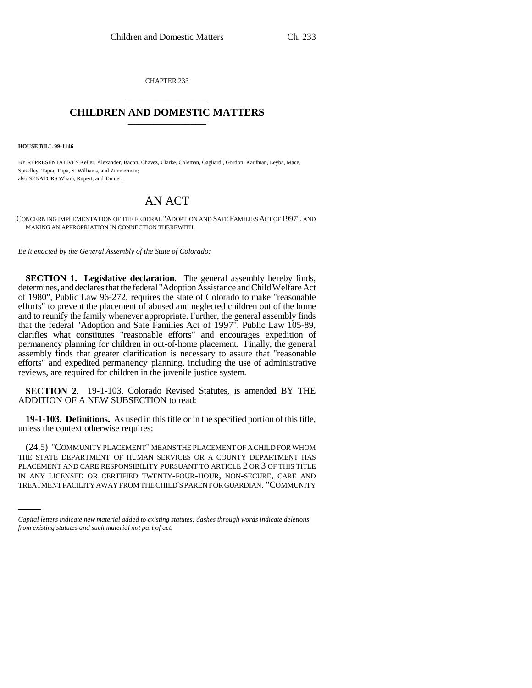CHAPTER 233 \_\_\_\_\_\_\_\_\_\_\_\_\_\_\_

## **CHILDREN AND DOMESTIC MATTERS** \_\_\_\_\_\_\_\_\_\_\_\_\_\_\_

**HOUSE BILL 99-1146**

BY REPRESENTATIVES Keller, Alexander, Bacon, Chavez, Clarke, Coleman, Gagliardi, Gordon, Kaufman, Leyba, Mace, Spradley, Tapia, Tupa, S. Williams, and Zimmerman; also SENATORS Wham, Rupert, and Tanner.

## AN ACT

CONCERNING IMPLEMENTATION OF THE FEDERAL "ADOPTION AND SAFE FAMILIES ACT OF 1997", AND MAKING AN APPROPRIATION IN CONNECTION THEREWITH.

*Be it enacted by the General Assembly of the State of Colorado:*

**SECTION 1. Legislative declaration.** The general assembly hereby finds, determines, and declares that the federal "Adoption Assistance and Child Welfare Act of 1980", Public Law 96-272, requires the state of Colorado to make "reasonable efforts" to prevent the placement of abused and neglected children out of the home and to reunify the family whenever appropriate. Further, the general assembly finds that the federal "Adoption and Safe Families Act of 1997", Public Law 105-89, clarifies what constitutes "reasonable efforts" and encourages expedition of permanency planning for children in out-of-home placement. Finally, the general assembly finds that greater clarification is necessary to assure that "reasonable efforts" and expedited permanency planning, including the use of administrative reviews, are required for children in the juvenile justice system.

**SECTION 2.** 19-1-103, Colorado Revised Statutes, is amended BY THE ADDITION OF A NEW SUBSECTION to read:

**19-1-103. Definitions.** As used in this title or in the specified portion of this title, unless the context otherwise requires:

PLACEMENT AND CARE RESPONSIBILITY PURSUANT TO ARTICLE 2 OR 3 OF THIS TITLE (24.5) "COMMUNITY PLACEMENT" MEANS THE PLACEMENT OF A CHILD FOR WHOM THE STATE DEPARTMENT OF HUMAN SERVICES OR A COUNTY DEPARTMENT HAS IN ANY LICENSED OR CERTIFIED TWENTY-FOUR-HOUR, NON-SECURE, CARE AND TREATMENT FACILITY AWAY FROM THE CHILD'S PARENT OR GUARDIAN. "COMMUNITY

*Capital letters indicate new material added to existing statutes; dashes through words indicate deletions from existing statutes and such material not part of act.*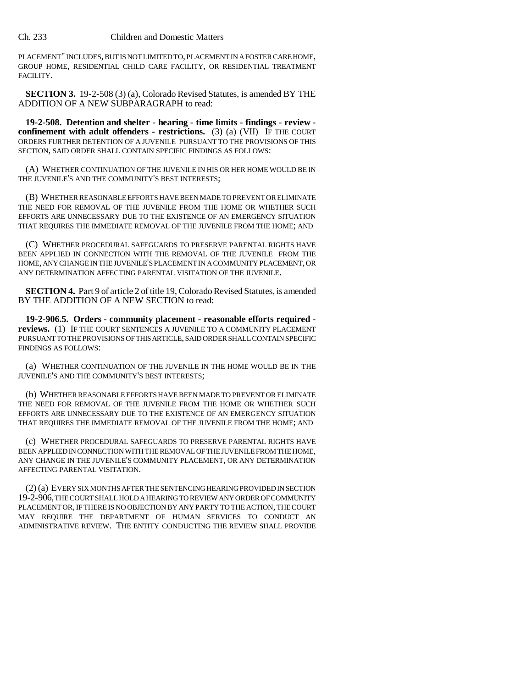PLACEMENT" INCLUDES, BUT IS NOT LIMITED TO, PLACEMENT IN A FOSTER CARE HOME, GROUP HOME, RESIDENTIAL CHILD CARE FACILITY, OR RESIDENTIAL TREATMENT FACILITY.

**SECTION 3.** 19-2-508 (3) (a), Colorado Revised Statutes, is amended BY THE ADDITION OF A NEW SUBPARAGRAPH to read:

**19-2-508. Detention and shelter - hearing - time limits - findings - review confinement with adult offenders - restrictions.** (3) (a) (VII) IF THE COURT ORDERS FURTHER DETENTION OF A JUVENILE PURSUANT TO THE PROVISIONS OF THIS SECTION, SAID ORDER SHALL CONTAIN SPECIFIC FINDINGS AS FOLLOWS:

(A) WHETHER CONTINUATION OF THE JUVENILE IN HIS OR HER HOME WOULD BE IN THE JUVENILE'S AND THE COMMUNITY'S BEST INTERESTS;

(B) WHETHER REASONABLE EFFORTS HAVE BEEN MADE TO PREVENT OR ELIMINATE THE NEED FOR REMOVAL OF THE JUVENILE FROM THE HOME OR WHETHER SUCH EFFORTS ARE UNNECESSARY DUE TO THE EXISTENCE OF AN EMERGENCY SITUATION THAT REQUIRES THE IMMEDIATE REMOVAL OF THE JUVENILE FROM THE HOME; AND

(C) WHETHER PROCEDURAL SAFEGUARDS TO PRESERVE PARENTAL RIGHTS HAVE BEEN APPLIED IN CONNECTION WITH THE REMOVAL OF THE JUVENILE FROM THE HOME, ANY CHANGE IN THE JUVENILE'S PLACEMENT IN A COMMUNITY PLACEMENT, OR ANY DETERMINATION AFFECTING PARENTAL VISITATION OF THE JUVENILE.

**SECTION 4.** Part 9 of article 2 of title 19, Colorado Revised Statutes, is amended BY THE ADDITION OF A NEW SECTION to read:

**19-2-906.5. Orders - community placement - reasonable efforts required reviews.** (1) IF THE COURT SENTENCES A JUVENILE TO A COMMUNITY PLACEMENT PURSUANT TO THE PROVISIONS OF THIS ARTICLE, SAID ORDER SHALL CONTAIN SPECIFIC FINDINGS AS FOLLOWS:

(a) WHETHER CONTINUATION OF THE JUVENILE IN THE HOME WOULD BE IN THE JUVENILE'S AND THE COMMUNITY'S BEST INTERESTS;

(b) WHETHER REASONABLE EFFORTS HAVE BEEN MADE TO PREVENT OR ELIMINATE THE NEED FOR REMOVAL OF THE JUVENILE FROM THE HOME OR WHETHER SUCH EFFORTS ARE UNNECESSARY DUE TO THE EXISTENCE OF AN EMERGENCY SITUATION THAT REQUIRES THE IMMEDIATE REMOVAL OF THE JUVENILE FROM THE HOME; AND

(c) WHETHER PROCEDURAL SAFEGUARDS TO PRESERVE PARENTAL RIGHTS HAVE BEEN APPLIED IN CONNECTION WITH THE REMOVAL OF THE JUVENILE FROM THE HOME, ANY CHANGE IN THE JUVENILE'S COMMUNITY PLACEMENT, OR ANY DETERMINATION AFFECTING PARENTAL VISITATION.

(2) (a) EVERY SIX MONTHS AFTER THE SENTENCING HEARING PROVIDED IN SECTION 19-2-906, THE COURT SHALL HOLD A HEARING TO REVIEW ANY ORDER OF COMMUNITY PLACEMENT OR, IF THERE IS NO OBJECTION BY ANY PARTY TO THE ACTION, THE COURT MAY REQUIRE THE DEPARTMENT OF HUMAN SERVICES TO CONDUCT AN ADMINISTRATIVE REVIEW. THE ENTITY CONDUCTING THE REVIEW SHALL PROVIDE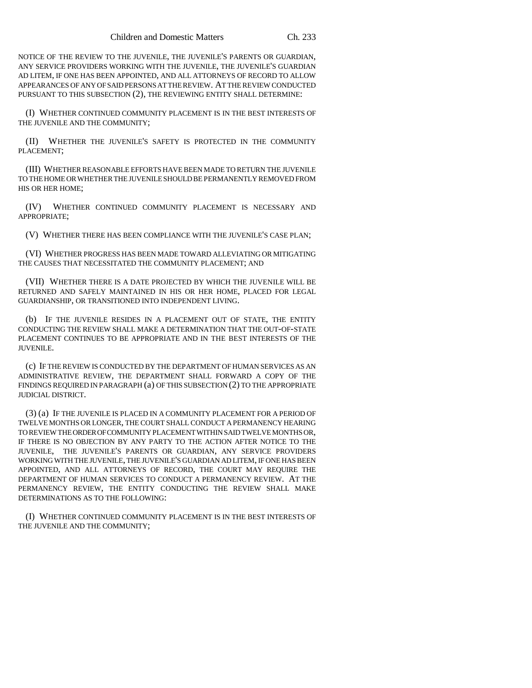NOTICE OF THE REVIEW TO THE JUVENILE, THE JUVENILE'S PARENTS OR GUARDIAN, ANY SERVICE PROVIDERS WORKING WITH THE JUVENILE, THE JUVENILE'S GUARDIAN AD LITEM, IF ONE HAS BEEN APPOINTED, AND ALL ATTORNEYS OF RECORD TO ALLOW APPEARANCES OF ANY OF SAID PERSONS AT THE REVIEW. AT THE REVIEW CONDUCTED PURSUANT TO THIS SUBSECTION (2), THE REVIEWING ENTITY SHALL DETERMINE:

(I) WHETHER CONTINUED COMMUNITY PLACEMENT IS IN THE BEST INTERESTS OF THE JUVENILE AND THE COMMUNITY;

(II) WHETHER THE JUVENILE'S SAFETY IS PROTECTED IN THE COMMUNITY PLACEMENT;

(III) WHETHER REASONABLE EFFORTS HAVE BEEN MADE TO RETURN THE JUVENILE TO THE HOME OR WHETHER THE JUVENILE SHOULD BE PERMANENTLY REMOVED FROM HIS OR HER HOME;

(IV) WHETHER CONTINUED COMMUNITY PLACEMENT IS NECESSARY AND APPROPRIATE;

(V) WHETHER THERE HAS BEEN COMPLIANCE WITH THE JUVENILE'S CASE PLAN;

(VI) WHETHER PROGRESS HAS BEEN MADE TOWARD ALLEVIATING OR MITIGATING THE CAUSES THAT NECESSITATED THE COMMUNITY PLACEMENT; AND

(VII) WHETHER THERE IS A DATE PROJECTED BY WHICH THE JUVENILE WILL BE RETURNED AND SAFELY MAINTAINED IN HIS OR HER HOME, PLACED FOR LEGAL GUARDIANSHIP, OR TRANSITIONED INTO INDEPENDENT LIVING.

(b) IF THE JUVENILE RESIDES IN A PLACEMENT OUT OF STATE, THE ENTITY CONDUCTING THE REVIEW SHALL MAKE A DETERMINATION THAT THE OUT-OF-STATE PLACEMENT CONTINUES TO BE APPROPRIATE AND IN THE BEST INTERESTS OF THE JUVENILE.

(c) IF THE REVIEW IS CONDUCTED BY THE DEPARTMENT OF HUMAN SERVICES AS AN ADMINISTRATIVE REVIEW, THE DEPARTMENT SHALL FORWARD A COPY OF THE FINDINGS REQUIRED IN PARAGRAPH (a) OF THIS SUBSECTION (2) TO THE APPROPRIATE JUDICIAL DISTRICT.

(3) (a) IF THE JUVENILE IS PLACED IN A COMMUNITY PLACEMENT FOR A PERIOD OF TWELVE MONTHS OR LONGER, THE COURT SHALL CONDUCT A PERMANENCY HEARING TO REVIEW THE ORDER OF COMMUNITY PLACEMENT WITHIN SAID TWELVE MONTHS OR, IF THERE IS NO OBJECTION BY ANY PARTY TO THE ACTION AFTER NOTICE TO THE JUVENILE, THE JUVENILE'S PARENTS OR GUARDIAN, ANY SERVICE PROVIDERS WORKING WITH THE JUVENILE, THE JUVENILE'S GUARDIAN AD LITEM, IF ONE HAS BEEN APPOINTED, AND ALL ATTORNEYS OF RECORD, THE COURT MAY REQUIRE THE DEPARTMENT OF HUMAN SERVICES TO CONDUCT A PERMANENCY REVIEW. AT THE PERMANENCY REVIEW, THE ENTITY CONDUCTING THE REVIEW SHALL MAKE DETERMINATIONS AS TO THE FOLLOWING:

(I) WHETHER CONTINUED COMMUNITY PLACEMENT IS IN THE BEST INTERESTS OF THE JUVENILE AND THE COMMUNITY;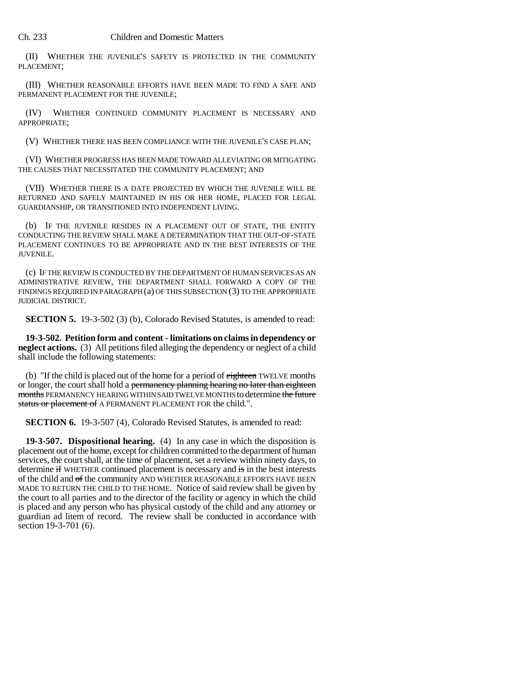(II) WHETHER THE JUVENILE'S SAFETY IS PROTECTED IN THE COMMUNITY PLACEMENT;

(III) WHETHER REASONABLE EFFORTS HAVE BEEN MADE TO FIND A SAFE AND PERMANENT PLACEMENT FOR THE JUVENILE;

(IV) WHETHER CONTINUED COMMUNITY PLACEMENT IS NECESSARY AND APPROPRIATE;

(V) WHETHER THERE HAS BEEN COMPLIANCE WITH THE JUVENILE'S CASE PLAN;

(VI) WHETHER PROGRESS HAS BEEN MADE TOWARD ALLEVIATING OR MITIGATING THE CAUSES THAT NECESSITATED THE COMMUNITY PLACEMENT; AND

(VII) WHETHER THERE IS A DATE PROJECTED BY WHICH THE JUVENILE WILL BE RETURNED AND SAFELY MAINTAINED IN HIS OR HER HOME, PLACED FOR LEGAL GUARDIANSHIP, OR TRANSITIONED INTO INDEPENDENT LIVING.

(b) IF THE JUVENILE RESIDES IN A PLACEMENT OUT OF STATE, THE ENTITY CONDUCTING THE REVIEW SHALL MAKE A DETERMINATION THAT THE OUT-OF-STATE PLACEMENT CONTINUES TO BE APPROPRIATE AND IN THE BEST INTERESTS OF THE JUVENILE.

(c) IF THE REVIEW IS CONDUCTED BY THE DEPARTMENT OF HUMAN SERVICES AS AN ADMINISTRATIVE REVIEW, THE DEPARTMENT SHALL FORWARD A COPY OF THE FINDINGS REQUIRED IN PARAGRAPH (a) OF THIS SUBSECTION (3) TO THE APPROPRIATE JUDICIAL DISTRICT.

**SECTION 5.** 19-3-502 (3) (b), Colorado Revised Statutes, is amended to read:

**19-3-502. Petition form and content - limitations on claims in dependency or neglect actions.** (3) All petitions filed alleging the dependency or neglect of a child shall include the following statements:

(b) "If the child is placed out of the home for a period of  $e^{i}$  end  $e^{i}$  multiple months or longer, the court shall hold a permanency planning hearing no later than eighteen months PERMANENCY HEARING WITHIN SAID TWELVE MONTHS to determine the future status or placement of A PERMANENT PLACEMENT FOR the child.".

**SECTION 6.** 19-3-507 (4), Colorado Revised Statutes, is amended to read:

**19-3-507. Dispositional hearing.** (4) In any case in which the disposition is placement out of the home, except for children committed to the department of human services, the court shall, at the time of placement, set a review within ninety days, to determine if WHETHER continued placement is necessary and is in the best interests of the child and of the community AND WHETHER REASONABLE EFFORTS HAVE BEEN MADE TO RETURN THE CHILD TO THE HOME. Notice of said review shall be given by the court to all parties and to the director of the facility or agency in which the child is placed and any person who has physical custody of the child and any attorney or guardian ad litem of record. The review shall be conducted in accordance with section 19-3-701 (6).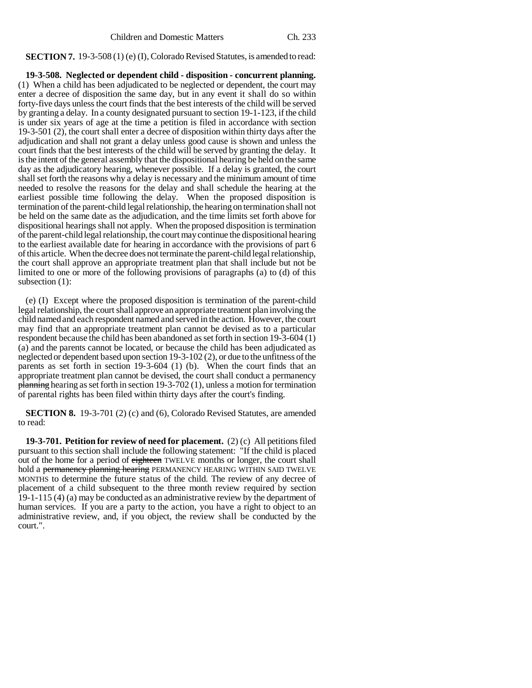**SECTION 7.** 19-3-508 (1) (e) (I), Colorado Revised Statutes, is amended to read:

**19-3-508. Neglected or dependent child - disposition - concurrent planning.** (1) When a child has been adjudicated to be neglected or dependent, the court may enter a decree of disposition the same day, but in any event it shall do so within forty-five days unless the court finds that the best interests of the child will be served by granting a delay. In a county designated pursuant to section 19-1-123, if the child is under six years of age at the time a petition is filed in accordance with section 19-3-501 (2), the court shall enter a decree of disposition within thirty days after the adjudication and shall not grant a delay unless good cause is shown and unless the court finds that the best interests of the child will be served by granting the delay. It is the intent of the general assembly that the dispositional hearing be held on the same day as the adjudicatory hearing, whenever possible. If a delay is granted, the court shall set forth the reasons why a delay is necessary and the minimum amount of time needed to resolve the reasons for the delay and shall schedule the hearing at the earliest possible time following the delay. When the proposed disposition is termination of the parent-child legal relationship, the hearing on termination shall not be held on the same date as the adjudication, and the time limits set forth above for dispositional hearings shall not apply. When the proposed disposition is termination of the parent-child legal relationship, the court may continue the dispositional hearing to the earliest available date for hearing in accordance with the provisions of part 6 of this article. When the decree does not terminate the parent-child legal relationship, the court shall approve an appropriate treatment plan that shall include but not be limited to one or more of the following provisions of paragraphs (a) to (d) of this subsection  $(1)$ :

(e) (I) Except where the proposed disposition is termination of the parent-child legal relationship, the court shall approve an appropriate treatment plan involving the child named and each respondent named and served in the action. However, the court may find that an appropriate treatment plan cannot be devised as to a particular respondent because the child has been abandoned as set forth in section 19-3-604 (1) (a) and the parents cannot be located, or because the child has been adjudicated as neglected or dependent based upon section 19-3-102 (2), or due to the unfitness of the parents as set forth in section 19-3-604 (1) (b). When the court finds that an appropriate treatment plan cannot be devised, the court shall conduct a permanency  $\frac{\text{planning}}{\text{hearing}}$  as set forth in section 19-3-702 (1), unless a motion for termination of parental rights has been filed within thirty days after the court's finding.

**SECTION 8.** 19-3-701 (2) (c) and (6), Colorado Revised Statutes, are amended to read:

**19-3-701. Petition for review of need for placement.** (2) (c) All petitions filed pursuant to this section shall include the following statement: "If the child is placed out of the home for a period of eighteen TWELVE months or longer, the court shall hold a <del>permanency planning hearing</del> PERMANENCY HEARING WITHIN SAID TWELVE MONTHS to determine the future status of the child. The review of any decree of placement of a child subsequent to the three month review required by section 19-1-115 (4) (a) may be conducted as an administrative review by the department of human services. If you are a party to the action, you have a right to object to an administrative review, and, if you object, the review shall be conducted by the court.".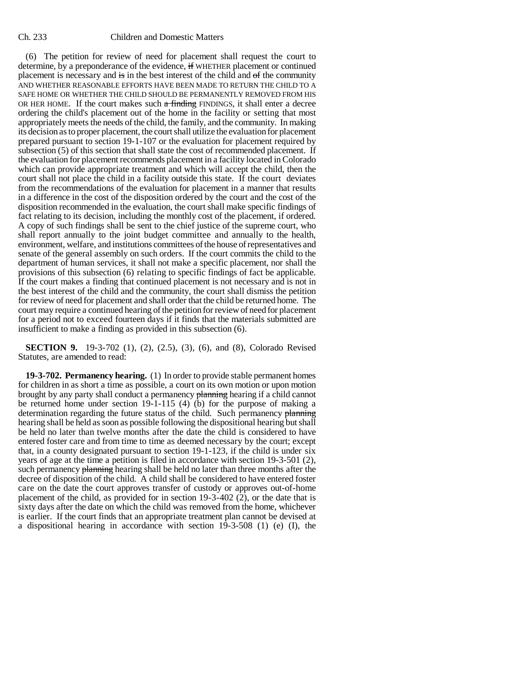(6) The petition for review of need for placement shall request the court to determine, by a preponderance of the evidence, if WHETHER placement or continued placement is necessary and is in the best interest of the child and of the community AND WHETHER REASONABLE EFFORTS HAVE BEEN MADE TO RETURN THE CHILD TO A SAFE HOME OR WHETHER THE CHILD SHOULD BE PERMANENTLY REMOVED FROM HIS OR HER HOME. If the court makes such  $\alpha$  finding FINDINGS, it shall enter a decree ordering the child's placement out of the home in the facility or setting that most appropriately meets the needs of the child, the family, and the community. In making its decision as to proper placement, the court shall utilize the evaluation for placement prepared pursuant to section 19-1-107 or the evaluation for placement required by subsection (5) of this section that shall state the cost of recommended placement. If the evaluation for placement recommends placement in a facility located in Colorado which can provide appropriate treatment and which will accept the child, then the court shall not place the child in a facility outside this state. If the court deviates from the recommendations of the evaluation for placement in a manner that results in a difference in the cost of the disposition ordered by the court and the cost of the disposition recommended in the evaluation, the court shall make specific findings of fact relating to its decision, including the monthly cost of the placement, if ordered. A copy of such findings shall be sent to the chief justice of the supreme court, who shall report annually to the joint budget committee and annually to the health, environment, welfare, and institutions committees of the house of representatives and senate of the general assembly on such orders. If the court commits the child to the department of human services, it shall not make a specific placement, nor shall the provisions of this subsection (6) relating to specific findings of fact be applicable. If the court makes a finding that continued placement is not necessary and is not in the best interest of the child and the community, the court shall dismiss the petition for review of need for placement and shall order that the child be returned home. The court may require a continued hearing of the petition for review of need for placement for a period not to exceed fourteen days if it finds that the materials submitted are insufficient to make a finding as provided in this subsection (6).

**SECTION 9.** 19-3-702 (1), (2), (2.5), (3), (6), and (8), Colorado Revised Statutes, are amended to read:

**19-3-702. Permanency hearing.** (1) In order to provide stable permanent homes for children in as short a time as possible, a court on its own motion or upon motion brought by any party shall conduct a permanency planning hearing if a child cannot be returned home under section 19-1-115 (4) (b) for the purpose of making a determination regarding the future status of the child. Such permanency planning hearing shall be held as soon as possible following the dispositional hearing but shall be held no later than twelve months after the date the child is considered to have entered foster care and from time to time as deemed necessary by the court; except that, in a county designated pursuant to section 19-1-123, if the child is under six years of age at the time a petition is filed in accordance with section 19-3-501 (2), such permanency planning hearing shall be held no later than three months after the decree of disposition of the child. A child shall be considered to have entered foster care on the date the court approves transfer of custody or approves out-of-home placement of the child, as provided for in section 19-3-402 (2), or the date that is sixty days after the date on which the child was removed from the home, whichever is earlier. If the court finds that an appropriate treatment plan cannot be devised at a dispositional hearing in accordance with section 19-3-508 (1) (e) (I), the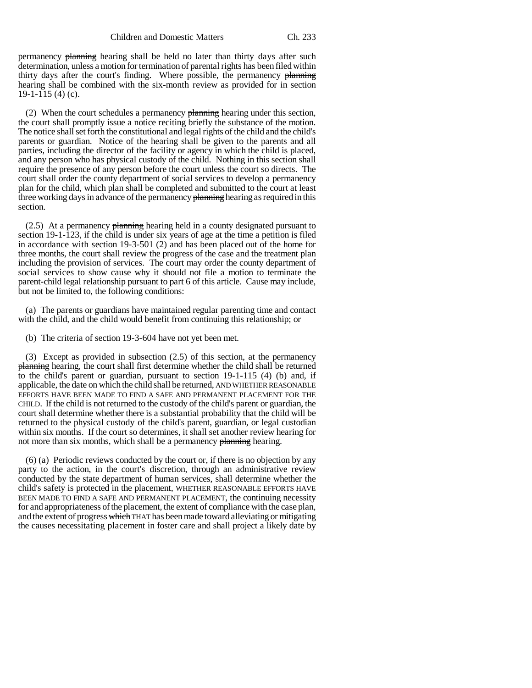permanency planning hearing shall be held no later than thirty days after such determination, unless a motion for termination of parental rights has been filed within thirty days after the court's finding. Where possible, the permanency planning hearing shall be combined with the six-month review as provided for in section 19-1-115 (4) (c).

(2) When the court schedules a permanency planning hearing under this section, the court shall promptly issue a notice reciting briefly the substance of the motion. The notice shall set forth the constitutional and legal rights of the child and the child's parents or guardian. Notice of the hearing shall be given to the parents and all parties, including the director of the facility or agency in which the child is placed, and any person who has physical custody of the child. Nothing in this section shall require the presence of any person before the court unless the court so directs. The court shall order the county department of social services to develop a permanency plan for the child, which plan shall be completed and submitted to the court at least three working days in advance of the permanency planning hearing as required in this section.

 $(2.5)$  At a permanency planning hearing held in a county designated pursuant to section 19-1-123, if the child is under six years of age at the time a petition is filed in accordance with section 19-3-501 (2) and has been placed out of the home for three months, the court shall review the progress of the case and the treatment plan including the provision of services. The court may order the county department of social services to show cause why it should not file a motion to terminate the parent-child legal relationship pursuant to part 6 of this article. Cause may include, but not be limited to, the following conditions:

(a) The parents or guardians have maintained regular parenting time and contact with the child, and the child would benefit from continuing this relationship; or

(b) The criteria of section 19-3-604 have not yet been met.

(3) Except as provided in subsection (2.5) of this section, at the permanency planning hearing, the court shall first determine whether the child shall be returned to the child's parent or guardian, pursuant to section 19-1-115 (4) (b) and, if applicable, the date on which the child shall be returned, AND WHETHER REASONABLE EFFORTS HAVE BEEN MADE TO FIND A SAFE AND PERMANENT PLACEMENT FOR THE CHILD. If the child is not returned to the custody of the child's parent or guardian, the court shall determine whether there is a substantial probability that the child will be returned to the physical custody of the child's parent, guardian, or legal custodian within six months. If the court so determines, it shall set another review hearing for not more than six months, which shall be a permanency planning hearing.

(6) (a) Periodic reviews conducted by the court or, if there is no objection by any party to the action, in the court's discretion, through an administrative review conducted by the state department of human services, shall determine whether the child's safety is protected in the placement, WHETHER REASONABLE EFFORTS HAVE BEEN MADE TO FIND A SAFE AND PERMANENT PLACEMENT, the continuing necessity for and appropriateness of the placement, the extent of compliance with the case plan, and the extent of progress which THAT has been made toward alleviating or mitigating the causes necessitating placement in foster care and shall project a likely date by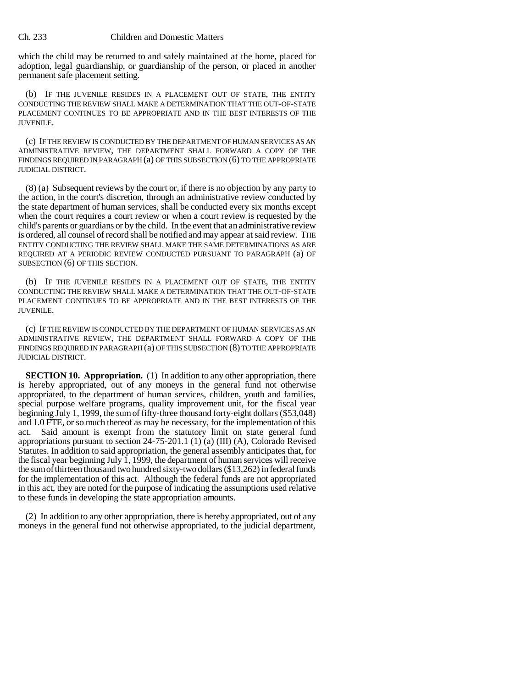## Ch. 233 Children and Domestic Matters

which the child may be returned to and safely maintained at the home, placed for adoption, legal guardianship, or guardianship of the person, or placed in another permanent safe placement setting.

(b) IF THE JUVENILE RESIDES IN A PLACEMENT OUT OF STATE, THE ENTITY CONDUCTING THE REVIEW SHALL MAKE A DETERMINATION THAT THE OUT-OF-STATE PLACEMENT CONTINUES TO BE APPROPRIATE AND IN THE BEST INTERESTS OF THE JUVENILE.

(c) IF THE REVIEW IS CONDUCTED BY THE DEPARTMENT OF HUMAN SERVICES AS AN ADMINISTRATIVE REVIEW, THE DEPARTMENT SHALL FORWARD A COPY OF THE FINDINGS REQUIRED IN PARAGRAPH (a) OF THIS SUBSECTION (6) TO THE APPROPRIATE JUDICIAL DISTRICT.

(8) (a) Subsequent reviews by the court or, if there is no objection by any party to the action, in the court's discretion, through an administrative review conducted by the state department of human services, shall be conducted every six months except when the court requires a court review or when a court review is requested by the child's parents or guardians or by the child. In the event that an administrative review is ordered, all counsel of record shall be notified and may appear at said review. THE ENTITY CONDUCTING THE REVIEW SHALL MAKE THE SAME DETERMINATIONS AS ARE REQUIRED AT A PERIODIC REVIEW CONDUCTED PURSUANT TO PARAGRAPH (a) OF SUBSECTION (6) OF THIS SECTION.

(b) IF THE JUVENILE RESIDES IN A PLACEMENT OUT OF STATE, THE ENTITY CONDUCTING THE REVIEW SHALL MAKE A DETERMINATION THAT THE OUT-OF-STATE PLACEMENT CONTINUES TO BE APPROPRIATE AND IN THE BEST INTERESTS OF THE JUVENILE.

(c) IF THE REVIEW IS CONDUCTED BY THE DEPARTMENT OF HUMAN SERVICES AS AN ADMINISTRATIVE REVIEW, THE DEPARTMENT SHALL FORWARD A COPY OF THE FINDINGS REQUIRED IN PARAGRAPH (a) OF THIS SUBSECTION (8) TO THE APPROPRIATE JUDICIAL DISTRICT.

**SECTION 10. Appropriation.** (1) In addition to any other appropriation, there is hereby appropriated, out of any moneys in the general fund not otherwise appropriated, to the department of human services, children, youth and families, special purpose welfare programs, quality improvement unit, for the fiscal year beginning July 1, 1999, the sum of fifty-three thousand forty-eight dollars (\$53,048) and 1.0 FTE, or so much thereof as may be necessary, for the implementation of this act. Said amount is exempt from the statutory limit on state general fund appropriations pursuant to section 24-75-201.1 (1) (a) (III) (A), Colorado Revised Statutes. In addition to said appropriation, the general assembly anticipates that, for the fiscal year beginning July  $\overline{1}$ , 1999, the department of human services will receive the sum of thirteen thousand two hundred sixty-two dollars (\$13,262) in federal funds for the implementation of this act. Although the federal funds are not appropriated in this act, they are noted for the purpose of indicating the assumptions used relative to these funds in developing the state appropriation amounts.

(2) In addition to any other appropriation, there is hereby appropriated, out of any moneys in the general fund not otherwise appropriated, to the judicial department,